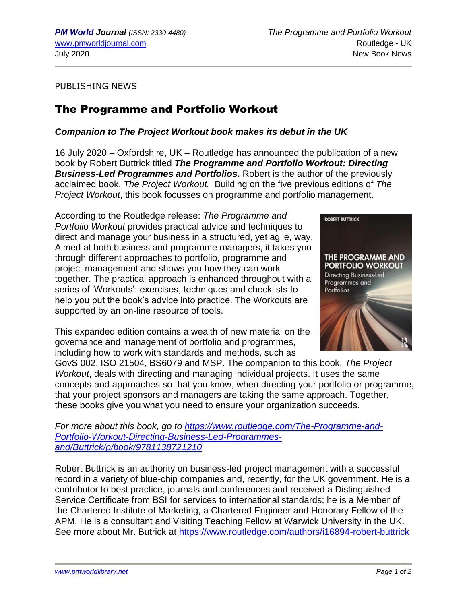PUBLISHING NEWS

## The Programme and Portfolio Workout

## *Companion to The Project Workout book makes its debut in the UK*

16 July 2020 – Oxfordshire, UK – Routledge has announced the publication of a new book by Robert Buttrick titled *The Programme and Portfolio Workout: Directing Business-Led Programmes and Portfolios.* Robert is the author of the previously acclaimed book, *The Project Workout.* Building on the five previous editions of *The Project Workout*, this book focusses on programme and portfolio management.

According to the Routledge release: *The Programme and Portfolio Workout* provides practical advice and techniques to direct and manage your business in a structured, yet agile, way. Aimed at both business and programme managers, it takes you through different approaches to portfolio, programme and project management and shows you how they can work together. The practical approach is enhanced throughout with a series of 'Workouts': exercises, techniques and checklists to help you put the book's advice into practice. The Workouts are supported by an on-line resource of tools.

This expanded edition contains a wealth of new material on the governance and management of portfolio and programmes, including how to work with standards and methods, such as



GovS 002, ISO 21504, BS6079 and MSP. The companion to this book, *The Project Workout*, deals with directing and managing individual projects. It uses the same concepts and approaches so that you know, when directing your portfolio or programme, that your project sponsors and managers are taking the same approach. Together, these books give you what you need to ensure your organization succeeds.

*For more about this book, go to [https://www.routledge.com/The-Programme-and-](https://www.routledge.com/The-Programme-and-Portfolio-Workout-Directing-Business-Led-Programmes-and/Buttrick/p/book/9781138721210)[Portfolio-Workout-Directing-Business-Led-Programmes](https://www.routledge.com/The-Programme-and-Portfolio-Workout-Directing-Business-Led-Programmes-and/Buttrick/p/book/9781138721210)[and/Buttrick/p/book/9781138721210](https://www.routledge.com/The-Programme-and-Portfolio-Workout-Directing-Business-Led-Programmes-and/Buttrick/p/book/9781138721210)*

Robert Buttrick is an authority on business-led project management with a successful record in a variety of blue-chip companies and, recently, for the UK government. He is a contributor to best practice, journals and conferences and received a Distinguished Service Certificate from BSI for services to international standards; he is a Member of the Chartered Institute of Marketing, a Chartered Engineer and Honorary Fellow of the APM. He is a consultant and Visiting Teaching Fellow at Warwick University in the UK. See more about Mr. Butrick at<https://www.routledge.com/authors/i16894-robert-buttrick>